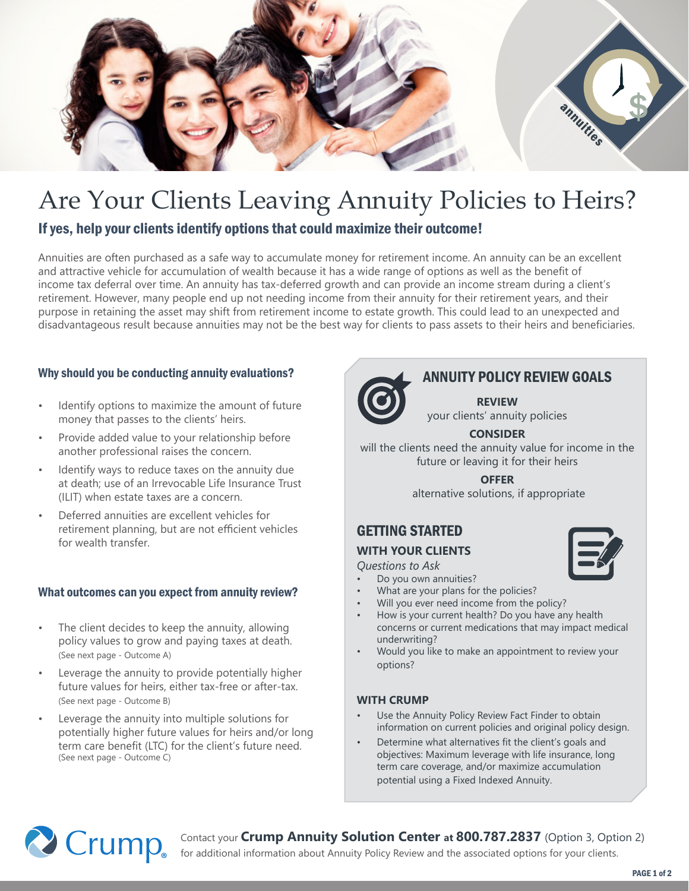

# Are Your Clients Leaving Annuity Policies to Heirs?

If yes, help your clients identify options that could maximize their outcome!

Annuities are often purchased as a safe way to accumulate money for retirement income. An annuity can be an excellent and attractive vehicle for accumulation of wealth because it has a wide range of options as well as the benefit of income tax deferral over time. An annuity has tax-deferred growth and can provide an income stream during a client's retirement. However, many people end up not needing income from their annuity for their retirement years, and their purpose in retaining the asset may shift from retirement income to estate growth. This could lead to an unexpected and disadvantageous result because annuities may not be the best way for clients to pass assets to their heirs and beneficiaries.

## Why should you be conducting annuity evaluations?

- Identify options to maximize the amount of future money that passes to the clients' heirs.
- Provide added value to your relationship before another professional raises the concern.
- Identify ways to reduce taxes on the annuity due at death; use of an Irrevocable Life Insurance Trust (ILIT) when estate taxes are a concern.
- Deferred annuities are excellent vehicles for retirement planning, but are not efficient vehicles for wealth transfer.

### What outcomes can you expect from annuity review?

- The client decides to keep the annuity, allowing policy values to grow and paying taxes at death. (See next page - Outcome A)
- Leverage the annuity to provide potentially higher future values for heirs, either tax-free or after-tax. (See next page - Outcome B)
- Leverage the annuity into multiple solutions for potentially higher future values for heirs and/or long term care benefit (LTC) for the client's future need. (See next page - Outcome C)



## ANNUITY POLICY REVIEW GOALS

**REVIEW** your clients' annuity policies

## **CONSIDER**

will the clients need the annuity value for income in the future or leaving it for their heirs

> **OFFER** alternative solutions, if appropriate

## GETTING STARTED

## **WITH YOUR CLIENTS**

*Questions to Ask* 

- Do you own annuities?
- What are your plans for the policies?
- Will you ever need income from the policy?
- How is your current health? Do you have any health concerns or current medications that may impact medical underwriting?
- Would you like to make an appointment to review your options?

### **WITH CRUMP**

- Use the Annuity Policy Review Fact Finder to obtain information on current policies and original policy design.
- Determine what alternatives fit the client's goals and objectives: Maximum leverage with life insurance, long term care coverage, and/or maximize accumulation potential using a Fixed Indexed Annuity.



Contact your **Crump Annuity Solution Center at 800.787.2837** (Option 3, Option 2)

for additional information about Annuity Policy Review and the associated options for your clients.